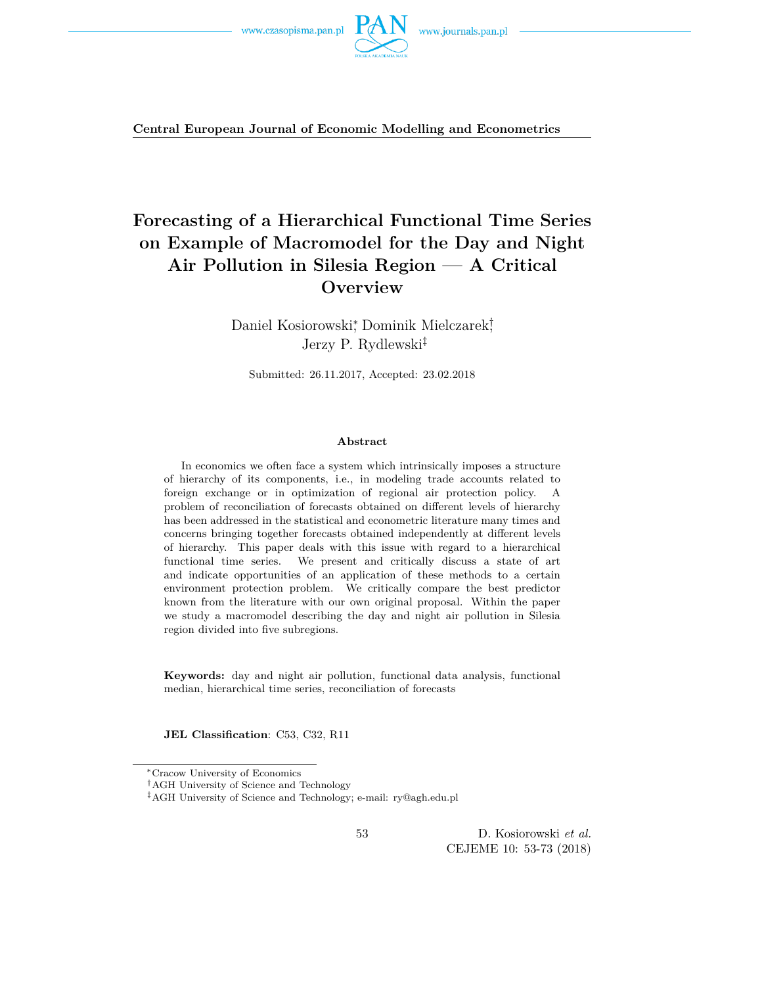

**Central European Journal of Economic Modelling and Econometrics**

# **Forecasting of a Hierarchical Functional Time Series on Example of Macromodel for the Day and Night Air Pollution in Silesia Region — A Critical Overview**

Daniel Kosiorowski<sup>∗</sup> , Dominik Mielczarek† , Jerzy P. Rydlewski‡

Submitted: 26.11.2017, Accepted: 23.02.2018

#### **Abstract**

In economics we often face a system which intrinsically imposes a structure of hierarchy of its components, i.e., in modeling trade accounts related to foreign exchange or in optimization of regional air protection policy. A problem of reconciliation of forecasts obtained on different levels of hierarchy has been addressed in the statistical and econometric literature many times and concerns bringing together forecasts obtained independently at different levels of hierarchy. This paper deals with this issue with regard to a hierarchical functional time series. We present and critically discuss a state of art and indicate opportunities of an application of these methods to a certain environment protection problem. We critically compare the best predictor known from the literature with our own original proposal. Within the paper we study a macromodel describing the day and night air pollution in Silesia region divided into five subregions.

**Keywords:** day and night air pollution, functional data analysis, functional median, hierarchical time series, reconciliation of forecasts

**JEL Classification**: C53, C32, R11

<sup>∗</sup>Cracow University of Economics

<sup>†</sup>AGH University of Science and Technology

<sup>‡</sup>AGH University of Science and Technology; e-mail: ry@agh.edu.pl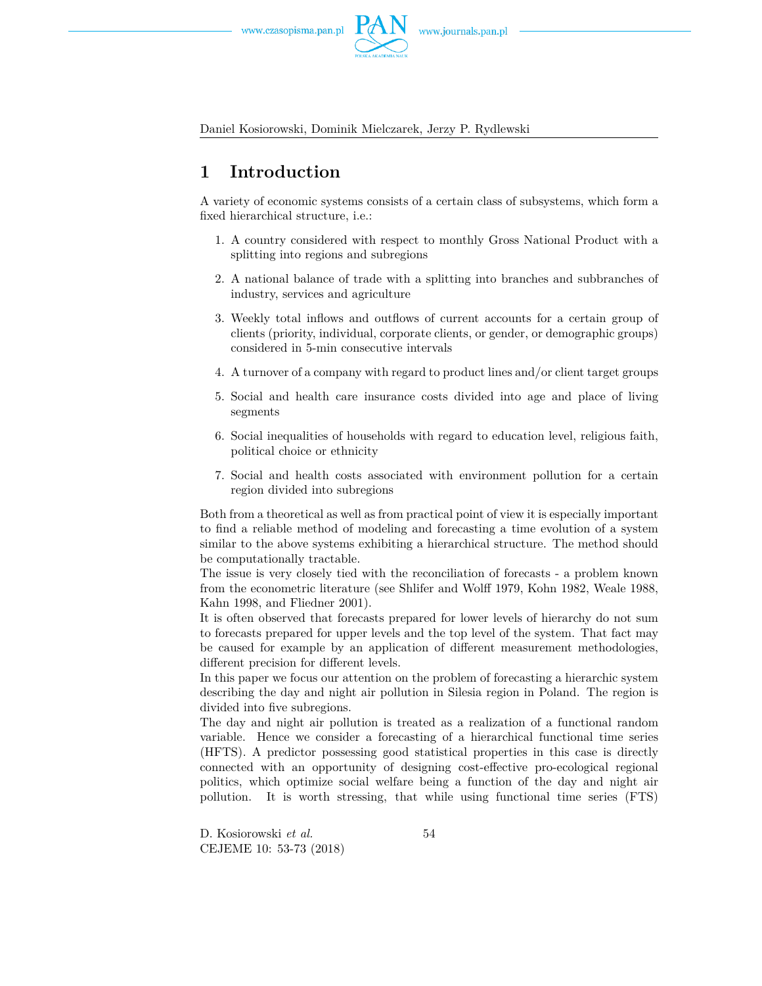

Daniel Kosiorowski, Dominik Mielczarek, Jerzy P. Rydlewski

# **1 Introduction**

A variety of economic systems consists of a certain class of subsystems, which form a fixed hierarchical structure, i.e.:

- 1. A country considered with respect to monthly Gross National Product with a splitting into regions and subregions
- 2. A national balance of trade with a splitting into branches and subbranches of industry, services and agriculture
- 3. Weekly total inflows and outflows of current accounts for a certain group of clients (priority, individual, corporate clients, or gender, or demographic groups) considered in 5-min consecutive intervals
- 4. A turnover of a company with regard to product lines and/or client target groups
- 5. Social and health care insurance costs divided into age and place of living segments
- 6. Social inequalities of households with regard to education level, religious faith, political choice or ethnicity
- 7. Social and health costs associated with environment pollution for a certain region divided into subregions

Both from a theoretical as well as from practical point of view it is especially important to find a reliable method of modeling and forecasting a time evolution of a system similar to the above systems exhibiting a hierarchical structure. The method should be computationally tractable.

The issue is very closely tied with the reconciliation of forecasts - a problem known from the econometric literature (see Shlifer and Wolff 1979, Kohn 1982, Weale 1988, Kahn 1998, and Fliedner 2001).

It is often observed that forecasts prepared for lower levels of hierarchy do not sum to forecasts prepared for upper levels and the top level of the system. That fact may be caused for example by an application of different measurement methodologies, different precision for different levels.

In this paper we focus our attention on the problem of forecasting a hierarchic system describing the day and night air pollution in Silesia region in Poland. The region is divided into five subregions.

The day and night air pollution is treated as a realization of a functional random variable. Hence we consider a forecasting of a hierarchical functional time series (HFTS). A predictor possessing good statistical properties in this case is directly connected with an opportunity of designing cost-effective pro-ecological regional politics, which optimize social welfare being a function of the day and night air pollution. It is worth stressing, that while using functional time series (FTS)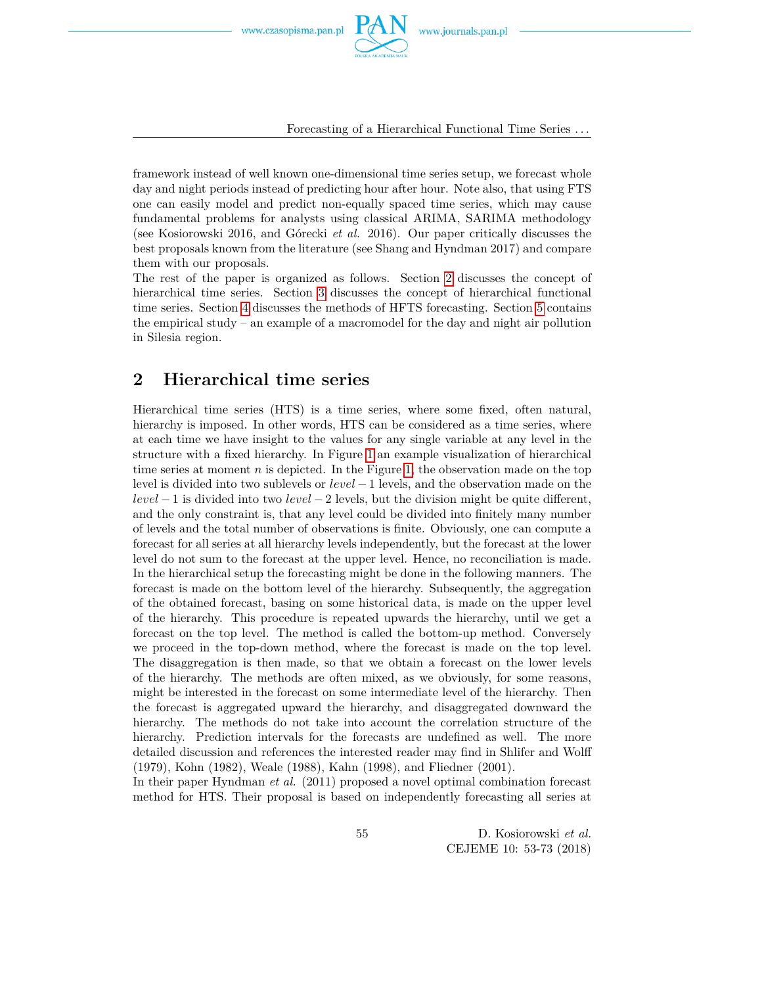

Forecasting of a Hierarchical Functional Time Series *. . .*

framework instead of well known one-dimensional time series setup, we forecast whole day and night periods instead of predicting hour after hour. Note also, that using FTS one can easily model and predict non-equally spaced time series, which may cause fundamental problems for analysts using classical ARIMA, SARIMA methodology (see Kosiorowski 2016, and Górecki *et al.* 2016). Our paper critically discusses the best proposals known from the literature (see Shang and Hyndman 2017) and compare them with our proposals.

The rest of the paper is organized as follows. Section [2](#page-2-0) discusses the concept of hierarchical time series. Section [3](#page-3-0) discusses the concept of hierarchical functional time series. Section [4](#page-6-0) discusses the methods of HFTS forecasting. Section [5](#page-8-0) contains the empirical study – an example of a macromodel for the day and night air pollution in Silesia region.

## <span id="page-2-0"></span>**2 Hierarchical time series**

Hierarchical time series (HTS) is a time series, where some fixed, often natural, hierarchy is imposed. In other words, HTS can be considered as a time series, where at each time we have insight to the values for any single variable at any level in the structure with a fixed hierarchy. In Figure [1](#page-3-1) an example visualization of hierarchical time series at moment  $n$  is depicted. In the Figure [1,](#page-3-1) the observation made on the top level is divided into two sublevels or *level* −1 levels, and the observation made on the *level* − 1 is divided into two *level* − 2 levels, but the division might be quite different, and the only constraint is, that any level could be divided into finitely many number of levels and the total number of observations is finite. Obviously, one can compute a forecast for all series at all hierarchy levels independently, but the forecast at the lower level do not sum to the forecast at the upper level. Hence, no reconciliation is made. In the hierarchical setup the forecasting might be done in the following manners. The forecast is made on the bottom level of the hierarchy. Subsequently, the aggregation of the obtained forecast, basing on some historical data, is made on the upper level of the hierarchy. This procedure is repeated upwards the hierarchy, until we get a forecast on the top level. The method is called the bottom-up method. Conversely we proceed in the top-down method, where the forecast is made on the top level. The disaggregation is then made, so that we obtain a forecast on the lower levels of the hierarchy. The methods are often mixed, as we obviously, for some reasons, might be interested in the forecast on some intermediate level of the hierarchy. Then the forecast is aggregated upward the hierarchy, and disaggregated downward the hierarchy. The methods do not take into account the correlation structure of the hierarchy. Prediction intervals for the forecasts are undefined as well. The more detailed discussion and references the interested reader may find in Shlifer and Wolff (1979), Kohn (1982), Weale (1988), Kahn (1998), and Fliedner (2001).

In their paper Hyndman *et al.* (2011) proposed a novel optimal combination forecast method for HTS. Their proposal is based on independently forecasting all series at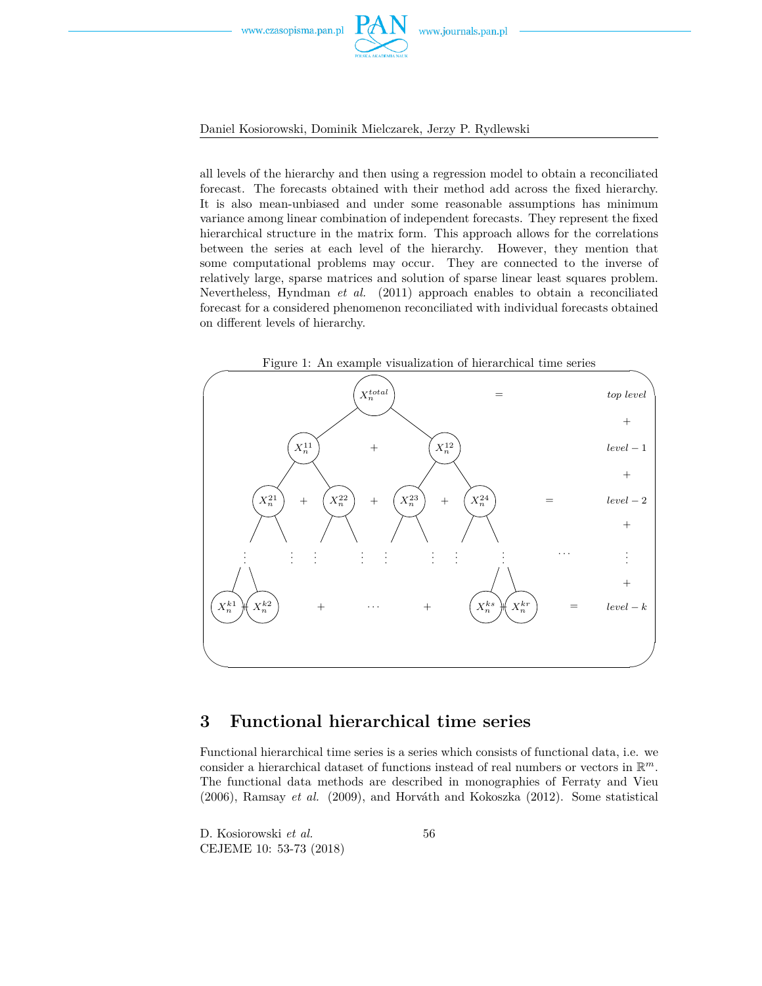

### Daniel Kosiorowski, Dominik Mielczarek, Jerzy P. Rydlewski

all levels of the hierarchy and then using a regression model to obtain a reconciliated forecast. The forecasts obtained with their method add across the fixed hierarchy. It is also mean-unbiased and under some reasonable assumptions has minimum variance among linear combination of independent forecasts. They represent the fixed hierarchical structure in the matrix form. This approach allows for the correlations between the series at each level of the hierarchy. However, they mention that some computational problems may occur. They are connected to the inverse of relatively large, sparse matrices and solution of sparse linear least squares problem. Nevertheless, Hyndman *et al.* (2011) approach enables to obtain a reconciliated forecast for a considered phenomenon reconciliated with individual forecasts obtained on different levels of hierarchy.

<span id="page-3-1"></span>

## <span id="page-3-0"></span>**3 Functional hierarchical time series**

Functional hierarchical time series is a series which consists of functional data, i.e. we consider a hierarchical dataset of functions instead of real numbers or vectors in R *m*. The functional data methods are described in monographies of Ferraty and Vieu (2006), Ramsay *et al.* (2009), and Horváth and Kokoszka (2012). Some statistical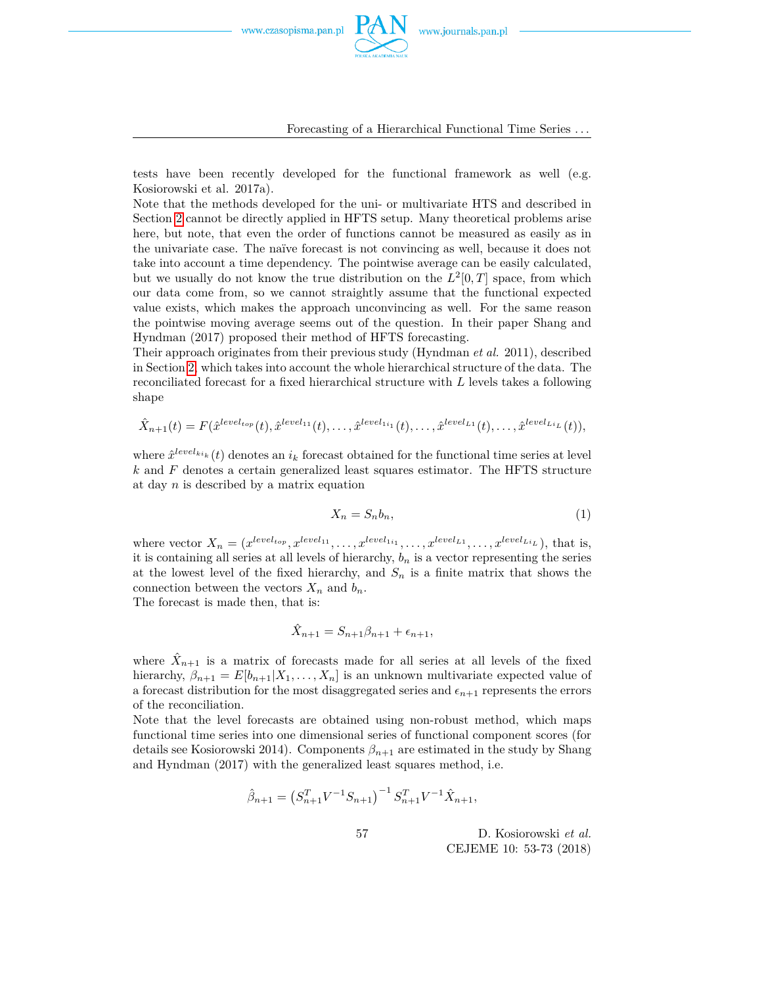

Forecasting of a Hierarchical Functional Time Series *. . .*

tests have been recently developed for the functional framework as well (e.g. Kosiorowski et al. 2017a).

Note that the methods developed for the uni- or multivariate HTS and described in Section [2](#page-2-0) cannot be directly applied in HFTS setup. Many theoretical problems arise here, but note, that even the order of functions cannot be measured as easily as in the univariate case. The naïve forecast is not convincing as well, because it does not take into account a time dependency. The pointwise average can be easily calculated, but we usually do not know the true distribution on the  $L^2[0,T]$  space, from which our data come from, so we cannot straightly assume that the functional expected value exists, which makes the approach unconvincing as well. For the same reason the pointwise moving average seems out of the question. In their paper Shang and Hyndman (2017) proposed their method of HFTS forecasting.

Their approach originates from their previous study (Hyndman *et al.* 2011), described in Section [2,](#page-2-0) which takes into account the whole hierarchical structure of the data. The reconciliated forecast for a fixed hierarchical structure with *L* levels takes a following shape

$$
\hat{X}_{n+1}(t) = F(\hat{x}^{level_{top}}(t), \hat{x}^{level_{11}}(t), \dots, \hat{x}^{level_{1i}}(t), \dots, \hat{x}^{level_{L1}}(t), \dots, \hat{x}^{level_{L1}}(t)),
$$

where  $\hat{x}^{level_{ki_k}}(t)$  denotes an  $i_k$  forecast obtained for the functional time series at level *k* and *F* denotes a certain generalized least squares estimator. The HFTS structure at day *n* is described by a matrix equation

<span id="page-4-0"></span>
$$
X_n = S_n b_n,\tag{1}
$$

where vector  $X_n = (x^{level_{top}}, x^{level_{11}}, \ldots, x^{level_{1i}}, \ldots, x^{level_{L1}}, \ldots, x^{level_{Li}})$ , that is, it is containing all series at all levels of hierarchy,  $b_n$  is a vector representing the series at the lowest level of the fixed hierarchy, and  $S_n$  is a finite matrix that shows the connection between the vectors  $X_n$  and  $b_n$ .

The forecast is made then, that is:

$$
\hat{X}_{n+1} = S_{n+1}\beta_{n+1} + \epsilon_{n+1},
$$

where  $\hat{X}_{n+1}$  is a matrix of forecasts made for all series at all levels of the fixed hierarchy,  $\beta_{n+1} = E[b_{n+1}|X_1,\ldots,X_n]$  is an unknown multivariate expected value of a forecast distribution for the most disaggregated series and  $\epsilon_{n+1}$  represents the errors of the reconciliation.

Note that the level forecasts are obtained using non-robust method, which maps functional time series into one dimensional series of functional component scores (for details see Kosiorowski 2014). Components  $\beta_{n+1}$  are estimated in the study by Shang and Hyndman (2017) with the generalized least squares method, i.e.

$$
\hat{\beta}_{n+1} = \left(S_{n+1}^T V^{-1} S_{n+1}\right)^{-1} S_{n+1}^T V^{-1} \hat{X}_{n+1},
$$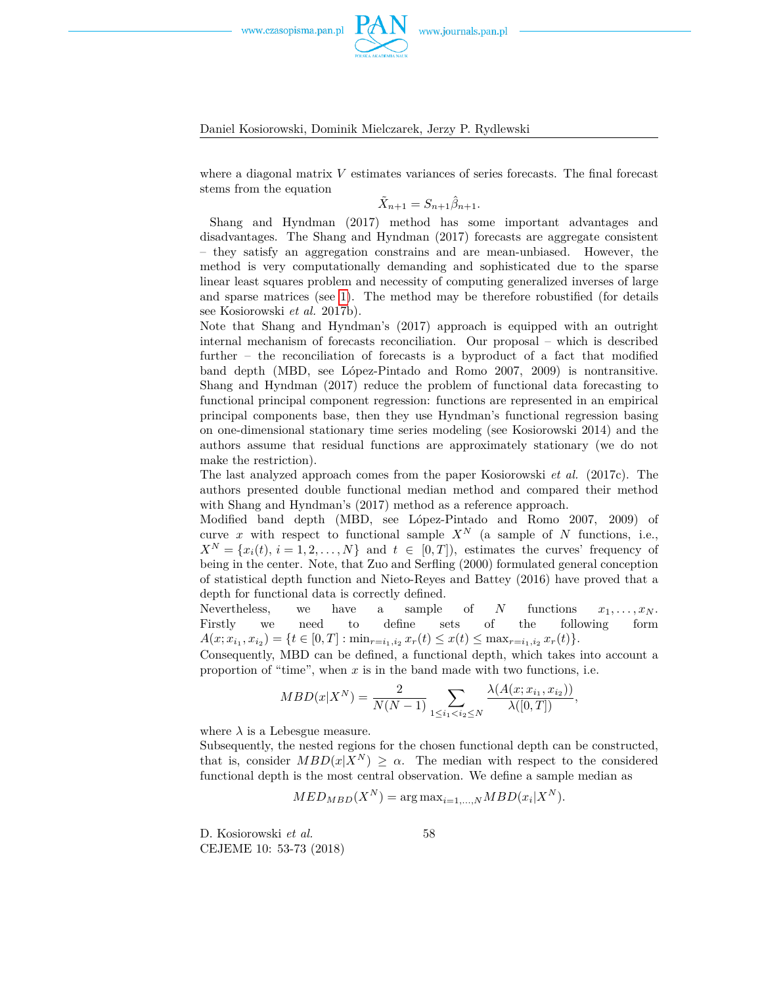

#### Daniel Kosiorowski, Dominik Mielczarek, Jerzy P. Rydlewski

where a diagonal matrix *V* estimates variances of series forecasts. The final forecast stems from the equation

$$
\tilde{X}_{n+1} = S_{n+1} \hat{\beta}_{n+1}.
$$

Shang and Hyndman (2017) method has some important advantages and disadvantages. The Shang and Hyndman (2017) forecasts are aggregate consistent – they satisfy an aggregation constrains and are mean-unbiased. However, the method is very computationally demanding and sophisticated due to the sparse linear least squares problem and necessity of computing generalized inverses of large and sparse matrices (see [1\)](#page-4-0). The method may be therefore robustified (for details see Kosiorowski *et al.* 2017b).

Note that Shang and Hyndman's (2017) approach is equipped with an outright internal mechanism of forecasts reconciliation. Our proposal – which is described further – the reconciliation of forecasts is a byproduct of a fact that modified band depth (MBD, see López-Pintado and Romo 2007, 2009) is nontransitive. Shang and Hyndman (2017) reduce the problem of functional data forecasting to functional principal component regression: functions are represented in an empirical principal components base, then they use Hyndman's functional regression basing on one-dimensional stationary time series modeling (see Kosiorowski 2014) and the authors assume that residual functions are approximately stationary (we do not make the restriction).

The last analyzed approach comes from the paper Kosiorowski *et al.* (2017c). The authors presented double functional median method and compared their method with Shang and Hyndman's (2017) method as a reference approach.

Modified band depth (MBD, see López-Pintado and Romo 2007, 2009) of curve *x* with respect to functional sample  $X^N$  (a sample of *N* functions, i.e.,  $X^N = \{x_i(t), i = 1, 2, \ldots, N\}$  and  $t \in [0, T]$ ), estimates the curves' frequency of being in the center. Note, that Zuo and Serfling (2000) formulated general conception of statistical depth function and Nieto-Reyes and Battey (2016) have proved that a depth for functional data is correctly defined.

Nevertheless, we have a sample of *N* functions  $x_1, \ldots, x_N$ . Firstly we need to define sets of the following form  $A(x; x_{i_1}, x_{i_2}) = \{t \in [0, T] : \min_{r=i_1, i_2} x_r(t) \leq x(t) \leq \max_{r=i_1, i_2} x_r(t)\}.$ 

Consequently, MBD can be defined, a functional depth, which takes into account a proportion of "time", when *x* is in the band made with two functions, i.e.

$$
MBD(x|X^N) = \frac{2}{N(N-1)} \sum_{1 \le i_1 < i_2 \le N} \frac{\lambda(A(x; x_{i_1}, x_{i_2}))}{\lambda([0, T])},
$$

where  $\lambda$  is a Lebesgue measure.

Subsequently, the nested regions for the chosen functional depth can be constructed, that is, consider  $MBD(x|X^N) \geq \alpha$ . The median with respect to the considered functional depth is the most central observation. We define a sample median as

$$
MED_{MBD}(X^N) = \arg \max_{i=1,...,N} MBD(x_i|X^N).
$$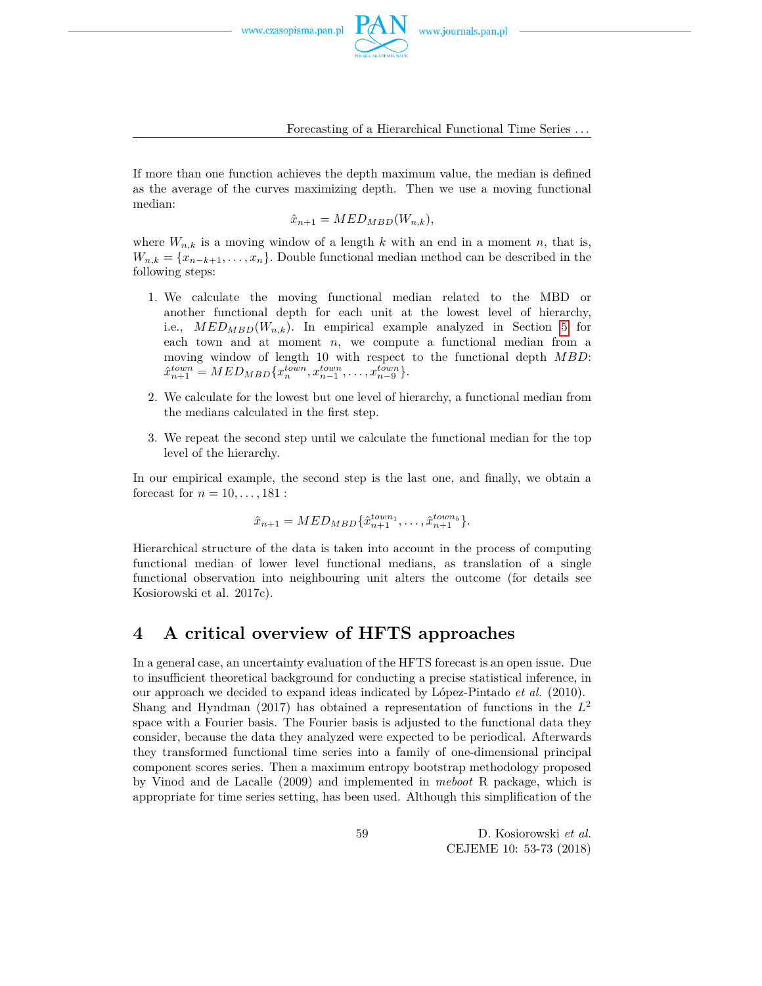

Forecasting of a Hierarchical Functional Time Series *. . .*

If more than one function achieves the depth maximum value, the median is defined as the average of the curves maximizing depth. Then we use a moving functional median:

 $\hat{x}_{n+1} = MED_{MBD}(W_{n,k}),$ 

where  $W_{n,k}$  is a moving window of a length  $k$  with an end in a moment  $n$ , that is,  $W_{n,k} = \{x_{n-k+1}, \ldots, x_n\}$ . Double functional median method can be described in the following steps:

- 1. We calculate the moving functional median related to the MBD or another functional depth for each unit at the lowest level of hierarchy, i.e.,  $MED_{MBD}(W_{n,k})$ . In empirical example analyzed in Section [5](#page-8-0) for each town and at moment *n*, we compute a functional median from a moving window of length 10 with respect to the functional depth *MBD*:  $\hat{x}_{n+1}^{town} = MED_{MBD}\{x_n^{town}, x_{n-1}^{town}, \dots, x_{n-9}^{town}\}.$
- 2. We calculate for the lowest but one level of hierarchy, a functional median from the medians calculated in the first step.
- 3. We repeat the second step until we calculate the functional median for the top level of the hierarchy.

In our empirical example, the second step is the last one, and finally, we obtain a forecast for  $n = 10, ..., 181$ :

$$
\hat{x}_{n+1} = MED_{MBD}\{\hat{x}_{n+1}^{town_1}, \dots, \hat{x}_{n+1}^{town_5}\}.
$$

Hierarchical structure of the data is taken into account in the process of computing functional median of lower level functional medians, as translation of a single functional observation into neighbouring unit alters the outcome (for details see Kosiorowski et al. 2017c).

## <span id="page-6-0"></span>**4 A critical overview of HFTS approaches**

In a general case, an uncertainty evaluation of the HFTS forecast is an open issue. Due to insufficient theoretical background for conducting a precise statistical inference, in our approach we decided to expand ideas indicated by López-Pintado *et al.* (2010). Shang and Hyndman (2017) has obtained a representation of functions in the *L* 2 space with a Fourier basis. The Fourier basis is adjusted to the functional data they consider, because the data they analyzed were expected to be periodical. Afterwards they transformed functional time series into a family of one-dimensional principal component scores series. Then a maximum entropy bootstrap methodology proposed by Vinod and de Lacalle (2009) and implemented in *meboot* R package, which is appropriate for time series setting, has been used. Although this simplification of the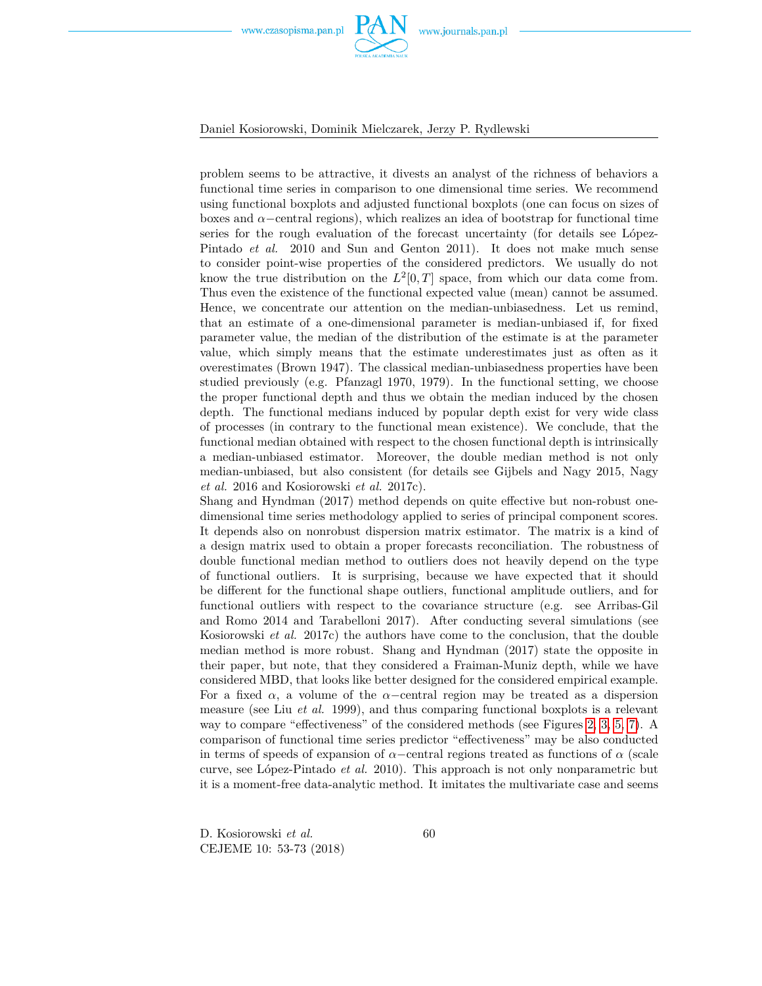

problem seems to be attractive, it divests an analyst of the richness of behaviors a functional time series in comparison to one dimensional time series. We recommend using functional boxplots and adjusted functional boxplots (one can focus on sizes of boxes and  $\alpha$ –central regions), which realizes an idea of bootstrap for functional time series for the rough evaluation of the forecast uncertainty (for details see López-Pintado *et al.* 2010 and Sun and Genton 2011). It does not make much sense to consider point-wise properties of the considered predictors. We usually do not know the true distribution on the  $L^2[0,T]$  space, from which our data come from. Thus even the existence of the functional expected value (mean) cannot be assumed. Hence, we concentrate our attention on the median-unbiasedness. Let us remind, that an estimate of a one-dimensional parameter is median-unbiased if, for fixed parameter value, the median of the distribution of the estimate is at the parameter value, which simply means that the estimate underestimates just as often as it overestimates (Brown 1947). The classical median-unbiasedness properties have been studied previously (e.g. Pfanzagl 1970, 1979). In the functional setting, we choose the proper functional depth and thus we obtain the median induced by the chosen depth. The functional medians induced by popular depth exist for very wide class of processes (in contrary to the functional mean existence). We conclude, that the functional median obtained with respect to the chosen functional depth is intrinsically a median-unbiased estimator. Moreover, the double median method is not only median-unbiased, but also consistent (for details see Gijbels and Nagy 2015, Nagy *et al.* 2016 and Kosiorowski *et al.* 2017c).

Shang and Hyndman (2017) method depends on quite effective but non-robust onedimensional time series methodology applied to series of principal component scores. It depends also on nonrobust dispersion matrix estimator. The matrix is a kind of a design matrix used to obtain a proper forecasts reconciliation. The robustness of double functional median method to outliers does not heavily depend on the type of functional outliers. It is surprising, because we have expected that it should be different for the functional shape outliers, functional amplitude outliers, and for functional outliers with respect to the covariance structure (e.g. see Arribas-Gil and Romo 2014 and Tarabelloni 2017). After conducting several simulations (see Kosiorowski *et al.* 2017c) the authors have come to the conclusion, that the double median method is more robust. Shang and Hyndman (2017) state the opposite in their paper, but note, that they considered a Fraiman-Muniz depth, while we have considered MBD, that looks like better designed for the considered empirical example. For a fixed  $\alpha$ , a volume of the  $\alpha$ -central region may be treated as a dispersion measure (see Liu *et al.* 1999), and thus comparing functional boxplots is a relevant way to compare "effectiveness" of the considered methods (see Figures [2,](#page-9-0) [3,](#page-10-0) [5,](#page-13-0) [7\)](#page-15-0). A comparison of functional time series predictor "effectiveness" may be also conducted in terms of speeds of expansion of  $\alpha$ −central regions treated as functions of  $\alpha$  (scale curve, see López-Pintado *et al.* 2010). This approach is not only nonparametric but it is a moment-free data-analytic method. It imitates the multivariate case and seems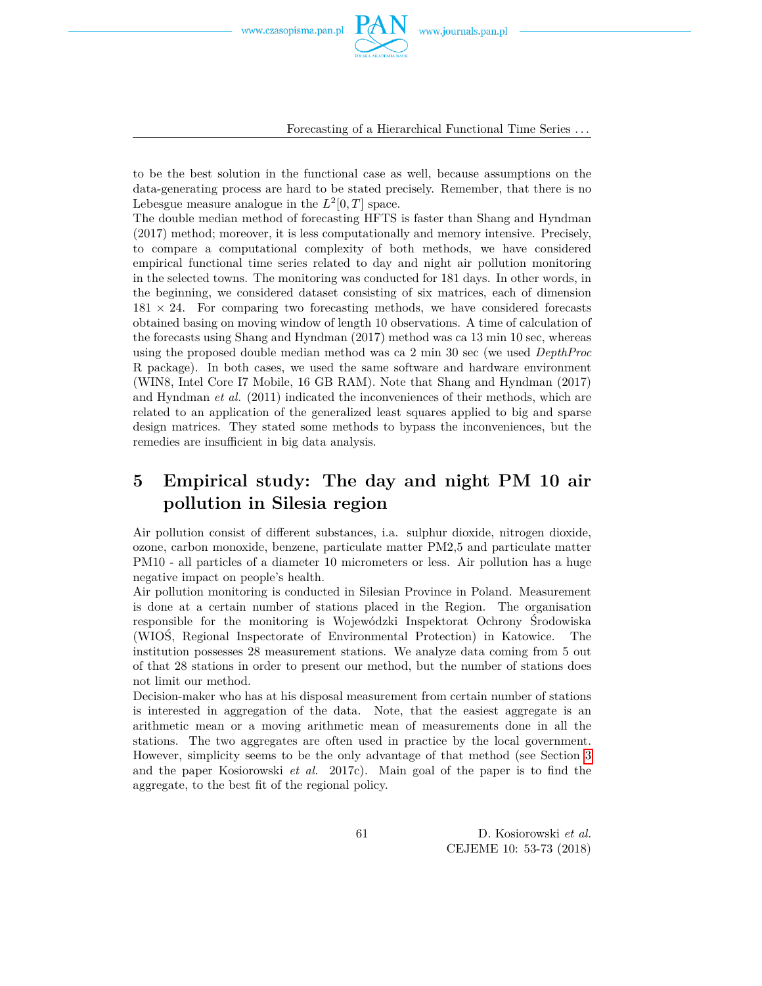

Forecasting of a Hierarchical Functional Time Series *. . .*

to be the best solution in the functional case as well, because assumptions on the data-generating process are hard to be stated precisely. Remember, that there is no Lebesgue measure analogue in the  $L^2[0,T]$  space.

The double median method of forecasting HFTS is faster than Shang and Hyndman (2017) method; moreover, it is less computationally and memory intensive. Precisely, to compare a computational complexity of both methods, we have considered empirical functional time series related to day and night air pollution monitoring in the selected towns. The monitoring was conducted for 181 days. In other words, in the beginning, we considered dataset consisting of six matrices, each of dimension  $181 \times 24$ . For comparing two forecasting methods, we have considered forecasts obtained basing on moving window of length 10 observations. A time of calculation of the forecasts using Shang and Hyndman (2017) method was ca 13 min 10 sec, whereas using the proposed double median method was ca 2 min 30 sec (we used *DepthProc* R package). In both cases, we used the same software and hardware environment (WIN8, Intel Core I7 Mobile, 16 GB RAM). Note that Shang and Hyndman (2017) and Hyndman *et al.* (2011) indicated the inconveniences of their methods, which are related to an application of the generalized least squares applied to big and sparse design matrices. They stated some methods to bypass the inconveniences, but the remedies are insufficient in big data analysis.

# <span id="page-8-0"></span>**5 Empirical study: The day and night PM 10 air pollution in Silesia region**

Air pollution consist of different substances, i.a. sulphur dioxide, nitrogen dioxide, ozone, carbon monoxide, benzene, particulate matter PM2,5 and particulate matter PM10 - all particles of a diameter 10 micrometers or less. Air pollution has a huge negative impact on people's health.

Air pollution monitoring is conducted in Silesian Province in Poland. Measurement is done at a certain number of stations placed in the Region. The organisation responsible for the monitoring is Wojewódzki Inspektorat Ochrony Środowiska (WIOŚ, Regional Inspectorate of Environmental Protection) in Katowice. The institution possesses 28 measurement stations. We analyze data coming from 5 out of that 28 stations in order to present our method, but the number of stations does not limit our method.

Decision-maker who has at his disposal measurement from certain number of stations is interested in aggregation of the data. Note, that the easiest aggregate is an arithmetic mean or a moving arithmetic mean of measurements done in all the stations. The two aggregates are often used in practice by the local government. However, simplicity seems to be the only advantage of that method (see Section [3](#page-3-0) and the paper Kosiorowski *et al.* 2017c). Main goal of the paper is to find the aggregate, to the best fit of the regional policy.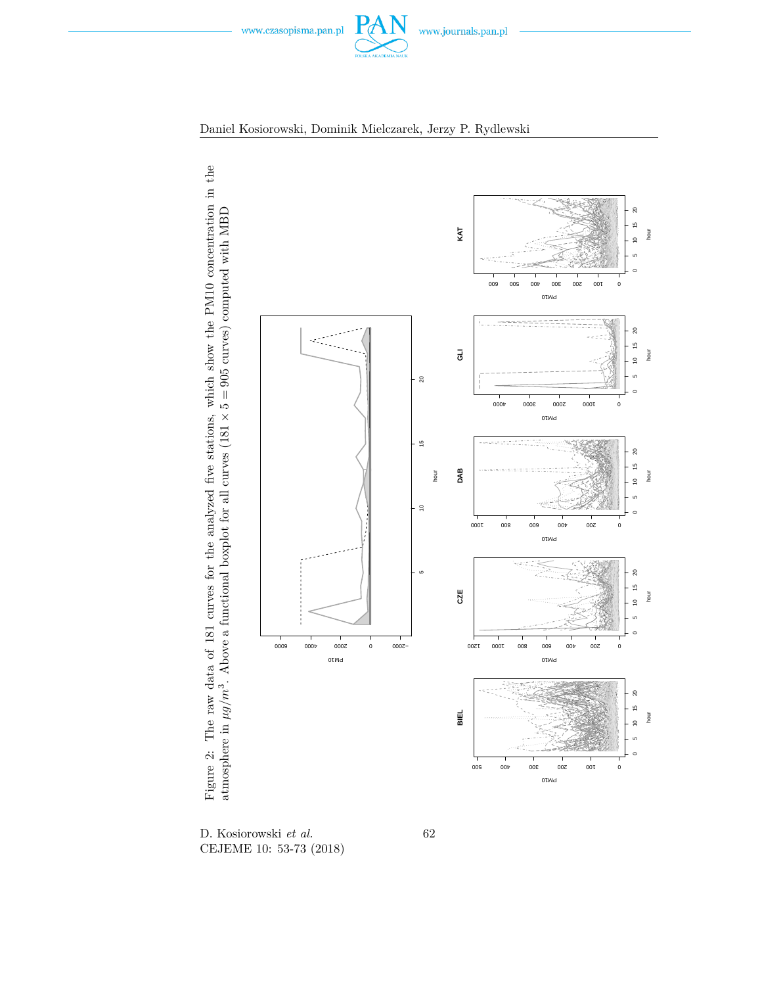<span id="page-9-0"></span>





D. Kosiorowski *et al.* CEJEME 10: 53-73 (2018) 62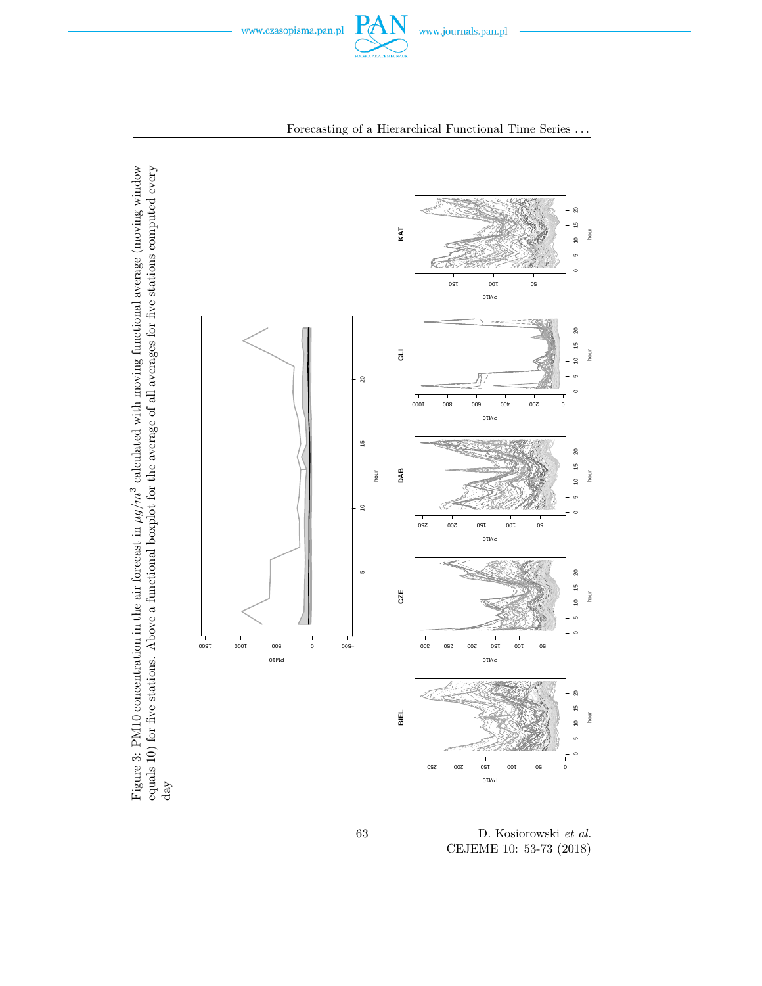<span id="page-10-0"></span>



Forecasting of a Hierarchical Functional Time Series *. . .*

Figure 3: PM10 concentration in the air forecast in  $\mu g/m^3$  calculated with moving functional average (moving window equals 10) for five stations. Above a functional boxplot for the average of all averages for five stations computed every Figure 3: PM10 concentration in the air forecast in *µg/m<sup>3</sup>* calculated with moving functional average (moving window equals 10) for five stations. Above a functional boxplot for the average of all averages for five stations computed every day

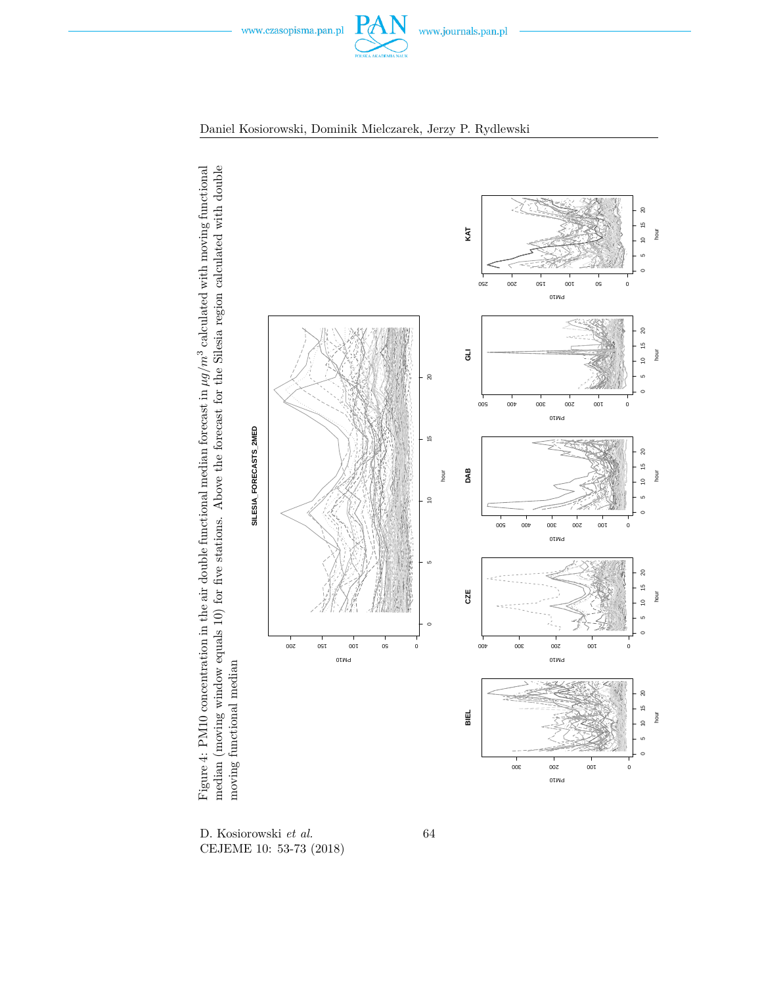<span id="page-11-0"></span>





D. Kosiorowski *et al.* CEJEME 10: 53-73 (2018) 64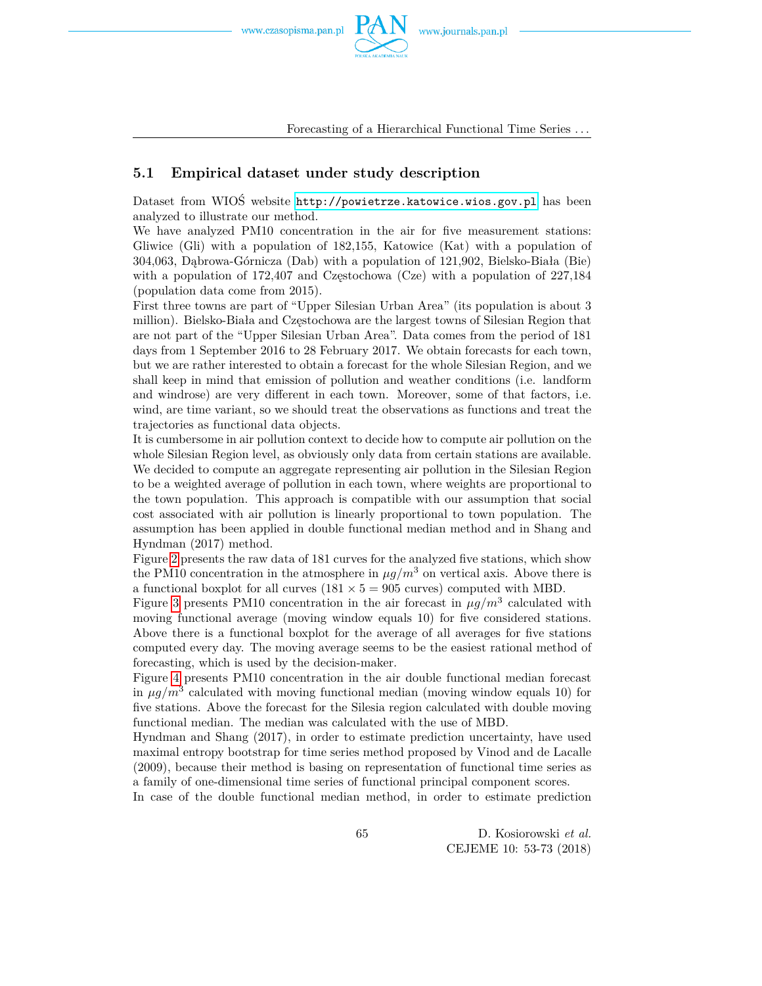![](_page_12_Picture_2.jpeg)

Forecasting of a Hierarchical Functional Time Series *. . .*

### **5.1 Empirical dataset under study description**

Dataset from WIOŚ website <http://powietrze.katowice.wios.gov.pl> has been analyzed to illustrate our method.

We have analyzed PM10 concentration in the air for five measurement stations: Gliwice (Gli) with a population of 182,155, Katowice (Kat) with a population of 304,063, Dąbrowa-Górnicza (Dab) with a population of 121,902, Bielsko-Biała (Bie) with a population of  $172.407$  and Czestochowa (Cze) with a population of  $227.184$ (population data come from 2015).

First three towns are part of "Upper Silesian Urban Area" (its population is about 3 million). Bielsko-Biała and Częstochowa are the largest towns of Silesian Region that are not part of the "Upper Silesian Urban Area". Data comes from the period of 181 days from 1 September 2016 to 28 February 2017. We obtain forecasts for each town, but we are rather interested to obtain a forecast for the whole Silesian Region, and we shall keep in mind that emission of pollution and weather conditions (i.e. landform and windrose) are very different in each town. Moreover, some of that factors, i.e. wind, are time variant, so we should treat the observations as functions and treat the trajectories as functional data objects.

It is cumbersome in air pollution context to decide how to compute air pollution on the whole Silesian Region level, as obviously only data from certain stations are available. We decided to compute an aggregate representing air pollution in the Silesian Region to be a weighted average of pollution in each town, where weights are proportional to the town population. This approach is compatible with our assumption that social cost associated with air pollution is linearly proportional to town population. The assumption has been applied in double functional median method and in Shang and Hyndman (2017) method.

Figure [2](#page-9-0) presents the raw data of 181 curves for the analyzed five stations, which show the PM10 concentration in the atmosphere in  $\mu g/m^3$  on vertical axis. Above there is a functional boxplot for all curves ( $181 \times 5 = 905$  curves) computed with MBD.

Figure [3](#page-10-0) presents PM10 concentration in the air forecast in  $\mu g/m^3$  calculated with moving functional average (moving window equals 10) for five considered stations. Above there is a functional boxplot for the average of all averages for five stations computed every day. The moving average seems to be the easiest rational method of forecasting, which is used by the decision-maker.

Figure [4](#page-11-0) presents PM10 concentration in the air double functional median forecast in  $\mu g/m^3$  calculated with moving functional median (moving window equals 10) for five stations. Above the forecast for the Silesia region calculated with double moving functional median. The median was calculated with the use of MBD.

Hyndman and Shang (2017), in order to estimate prediction uncertainty, have used maximal entropy bootstrap for time series method proposed by Vinod and de Lacalle (2009), because their method is basing on representation of functional time series as a family of one-dimensional time series of functional principal component scores.

In case of the double functional median method, in order to estimate prediction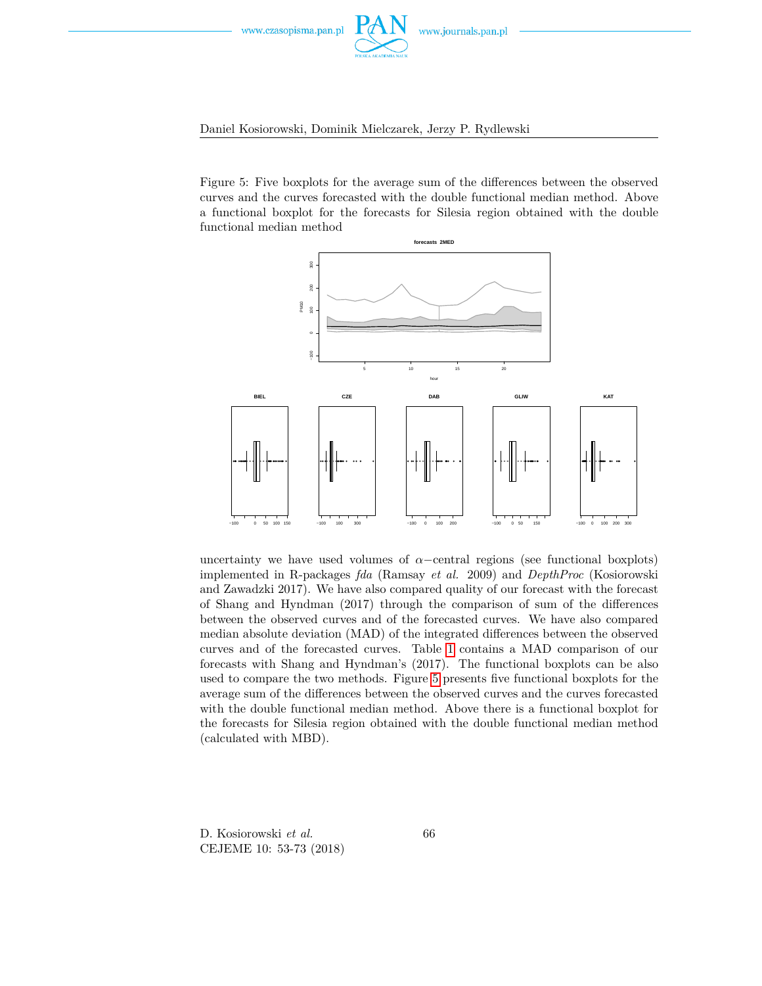![](_page_13_Picture_0.jpeg)

#### Daniel Kosiorowski, Dominik Mielczarek, Jerzy P. Rydlewski

<span id="page-13-0"></span>Figure 5: Five boxplots for the average sum of the differences between the observed curves and the curves forecasted with the double functional median method. Above a functional boxplot for the forecasts for Silesia region obtained with the double functional median method

![](_page_13_Figure_4.jpeg)

uncertainty we have used volumes of  $\alpha$ –central regions (see functional boxplots) implemented in R-packages *fda* (Ramsay *et al.* 2009) and *DepthProc* (Kosiorowski and Zawadzki 2017). We have also compared quality of our forecast with the forecast of Shang and Hyndman (2017) through the comparison of sum of the differences between the observed curves and of the forecasted curves. We have also compared median absolute deviation (MAD) of the integrated differences between the observed curves and of the forecasted curves. Table [1](#page-16-0) contains a MAD comparison of our forecasts with Shang and Hyndman's (2017). The functional boxplots can be also used to compare the two methods. Figure [5](#page-13-0) presents five functional boxplots for the average sum of the differences between the observed curves and the curves forecasted with the double functional median method. Above there is a functional boxplot for the forecasts for Silesia region obtained with the double functional median method (calculated with MBD).

D. Kosiorowski *et al.* CEJEME 10: 53-73 (2018) 66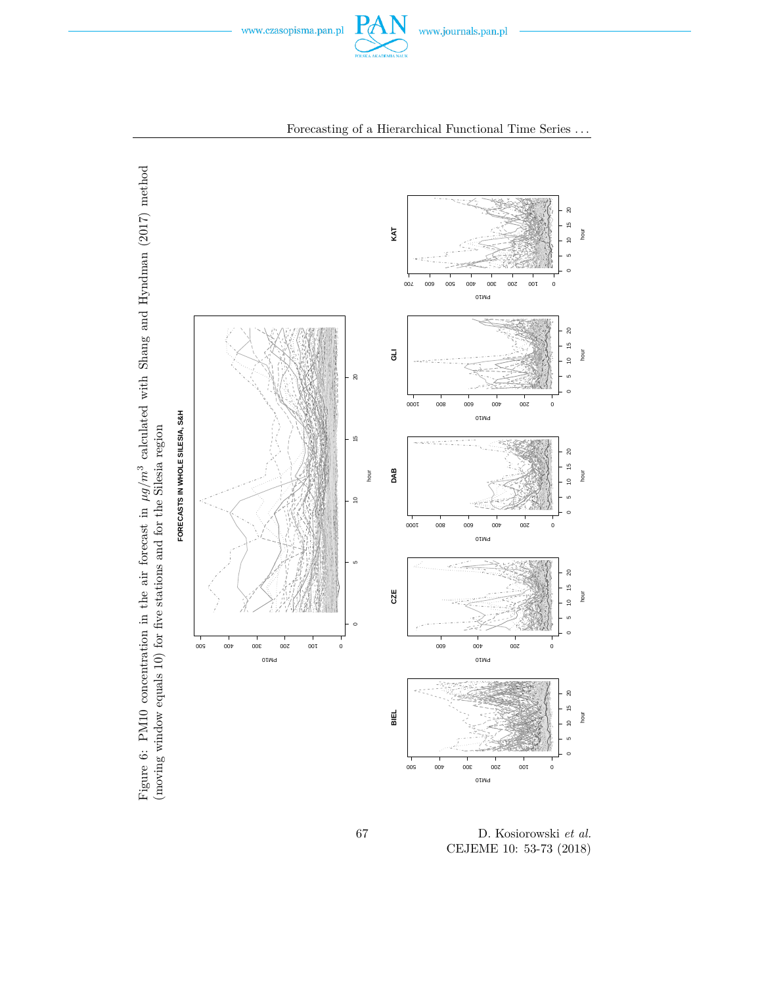<span id="page-14-0"></span>![](_page_14_Picture_0.jpeg)

![](_page_14_Figure_1.jpeg)

### Forecasting of a Hierarchical Functional Time Series *. . .*

67 D. Kosiorowski *et al.* CEJEME 10: 53-73 (2018)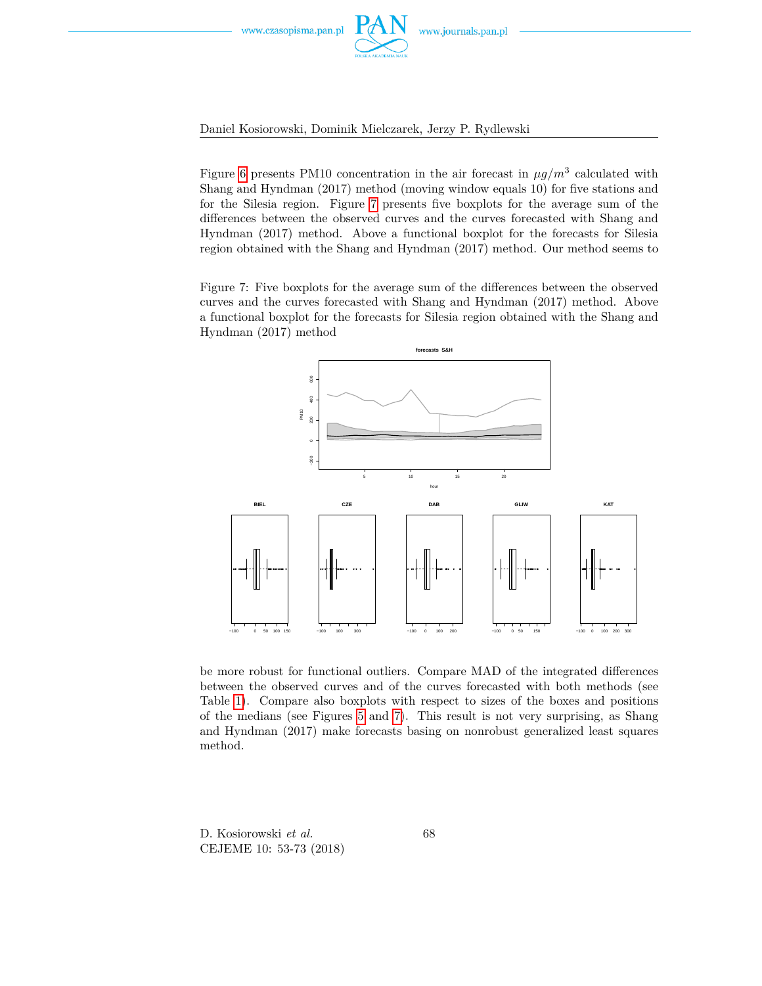![](_page_15_Picture_0.jpeg)

![](_page_15_Picture_2.jpeg)

Figure [6](#page-14-0) presents PM10 concentration in the air forecast in  $\mu g/m^3$  calculated with Shang and Hyndman (2017) method (moving window equals 10) for five stations and for the Silesia region. Figure [7](#page-15-0) presents five boxplots for the average sum of the differences between the observed curves and the curves forecasted with Shang and Hyndman (2017) method. Above a functional boxplot for the forecasts for Silesia region obtained with the Shang and Hyndman (2017) method. Our method seems to

<span id="page-15-0"></span>Figure 7: Five boxplots for the average sum of the differences between the observed curves and the curves forecasted with Shang and Hyndman (2017) method. Above a functional boxplot for the forecasts for Silesia region obtained with the Shang and Hyndman (2017) method

![](_page_15_Figure_5.jpeg)

be more robust for functional outliers. Compare MAD of the integrated differences between the observed curves and of the curves forecasted with both methods (see Table [1\)](#page-16-0). Compare also boxplots with respect to sizes of the boxes and positions of the medians (see Figures [5](#page-13-0) and [7\)](#page-15-0). This result is not very surprising, as Shang and Hyndman (2017) make forecasts basing on nonrobust generalized least squares method.

D. Kosiorowski *et al.* CEJEME 10: 53-73 (2018) 68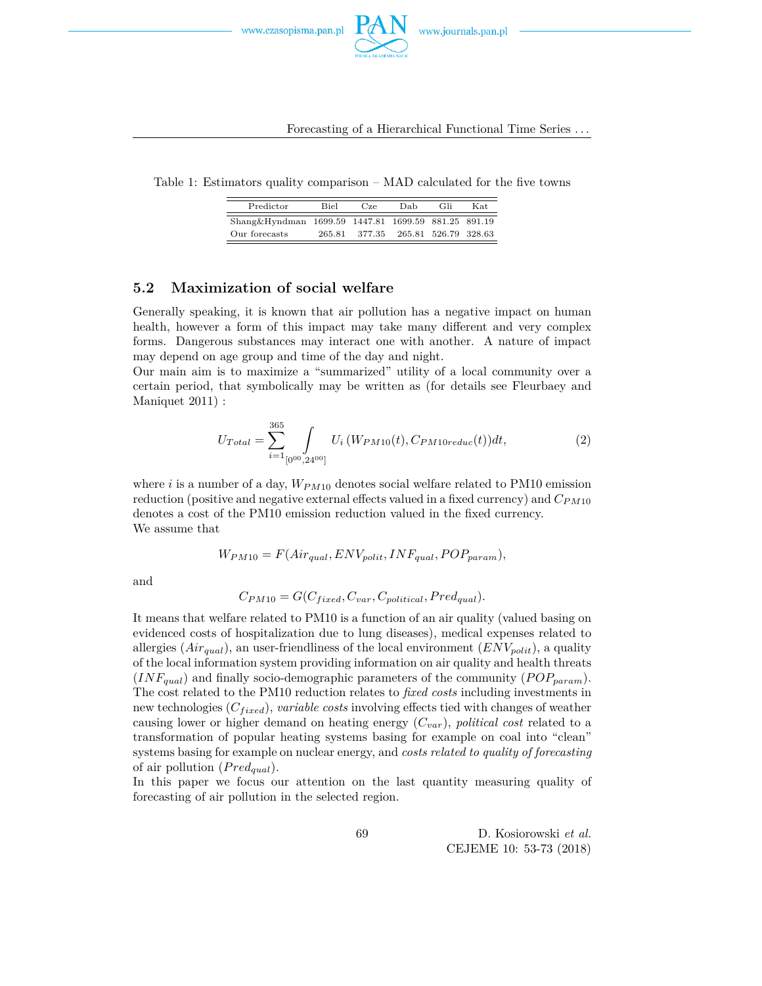![](_page_16_Picture_0.jpeg)

Table 1: Estimators quality comparison – MAD calculated for the five towns

<span id="page-16-0"></span>

| Predictor                                           | <b>Biel</b> | Cze    | Dab | Gli                  | Kat. |
|-----------------------------------------------------|-------------|--------|-----|----------------------|------|
| Shang&Hyndman 1699.59 1447.81 1699.59 881.25 891.19 |             |        |     |                      |      |
| Our forecasts                                       | 265.81      | 377.35 |     | 265.81 526.79 328.63 |      |

### **5.2 Maximization of social welfare**

Generally speaking, it is known that air pollution has a negative impact on human health, however a form of this impact may take many different and very complex forms. Dangerous substances may interact one with another. A nature of impact may depend on age group and time of the day and night.

Our main aim is to maximize a "summarized" utility of a local community over a certain period, that symbolically may be written as (for details see Fleurbaey and Maniquet 2011) :

$$
U_{Total} = \sum_{i=1}^{365} \int_{[0^{00}, 24^{00}]} U_i \left( W_{PM10}(t), C_{PM10reduc}(t) \right) dt,\tag{2}
$$

where *i* is a number of a day, *WPM*<sup>10</sup> denotes social welfare related to PM10 emission reduction (positive and negative external effects valued in a fixed currency) and *CPM*<sup>10</sup> denotes a cost of the PM10 emission reduction valued in the fixed currency. We assume that

$$
W_{PM10} = F(Air_{qual}, ENV_{polit}, INF_{qual}, POP_{param}),
$$

and

$$
C_{PM10} = G(C_{fixed}, C_{var}, C_{political}, Pred_{qual}).
$$

It means that welfare related to PM10 is a function of an air quality (valued basing on evidenced costs of hospitalization due to lung diseases), medical expenses related to allergies (*Airqual*), an user-friendliness of the local environment (*ENVpolit*), a quality of the local information system providing information on air quality and health threats  $(INF_{qual})$  and finally socio-demographic parameters of the community  $(POP_{param})$ . The cost related to the PM10 reduction relates to *fixed costs* including investments in new technologies ( $C_{fixed}$ ), *variable costs* involving effects tied with changes of weather causing lower or higher demand on heating energy (*Cvar*), *political cost* related to a transformation of popular heating systems basing for example on coal into "clean" systems basing for example on nuclear energy, and *costs related to quality of forecasting* of air pollution (*P redqual*).

In this paper we focus our attention on the last quantity measuring quality of forecasting of air pollution in the selected region.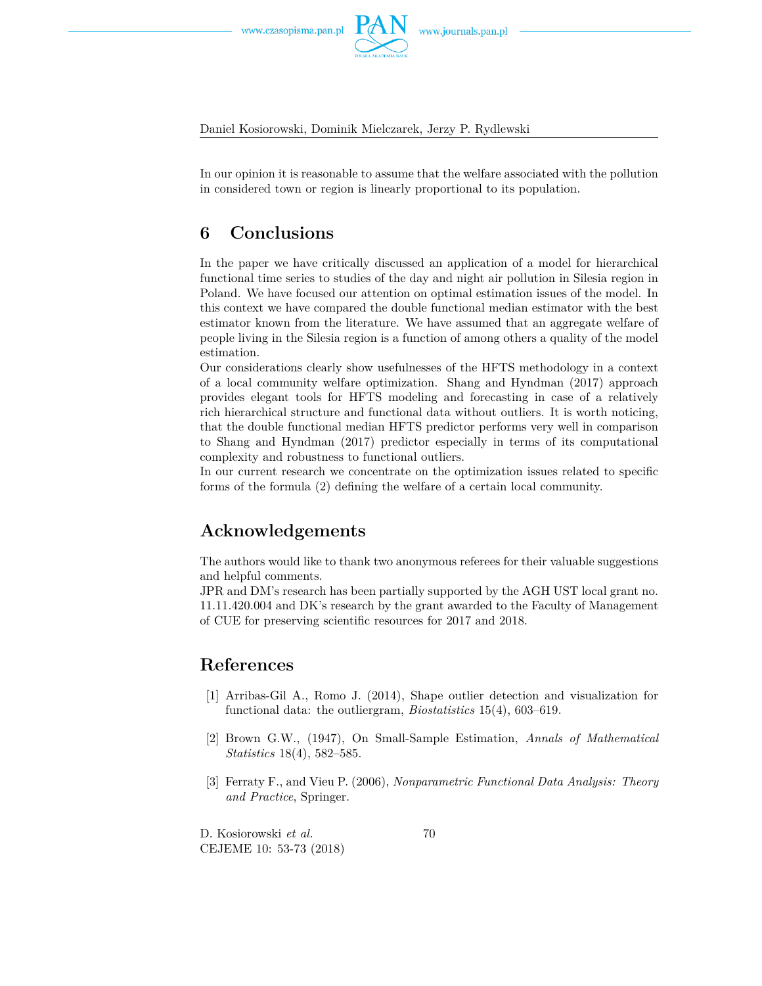![](_page_17_Picture_2.jpeg)

In our opinion it is reasonable to assume that the welfare associated with the pollution in considered town or region is linearly proportional to its population.

## **6 Conclusions**

In the paper we have critically discussed an application of a model for hierarchical functional time series to studies of the day and night air pollution in Silesia region in Poland. We have focused our attention on optimal estimation issues of the model. In this context we have compared the double functional median estimator with the best estimator known from the literature. We have assumed that an aggregate welfare of people living in the Silesia region is a function of among others a quality of the model estimation.

Our considerations clearly show usefulnesses of the HFTS methodology in a context of a local community welfare optimization. Shang and Hyndman (2017) approach provides elegant tools for HFTS modeling and forecasting in case of a relatively rich hierarchical structure and functional data without outliers. It is worth noticing, that the double functional median HFTS predictor performs very well in comparison to Shang and Hyndman (2017) predictor especially in terms of its computational complexity and robustness to functional outliers.

In our current research we concentrate on the optimization issues related to specific forms of the formula (2) defining the welfare of a certain local community.

## **Acknowledgements**

The authors would like to thank two anonymous referees for their valuable suggestions and helpful comments.

JPR and DM's research has been partially supported by the AGH UST local grant no. 11.11.420.004 and DK's research by the grant awarded to the Faculty of Management of CUE for preserving scientific resources for 2017 and 2018.

## **References**

- [1] Arribas-Gil A., Romo J. (2014), Shape outlier detection and visualization for functional data: the outliergram, *Biostatistics* 15(4), 603–619.
- [2] Brown G.W., (1947), On Small-Sample Estimation, *Annals of Mathematical Statistics* 18(4), 582–585.
- [3] Ferraty F., and Vieu P. (2006), *Nonparametric Functional Data Analysis: Theory and Practice*, Springer.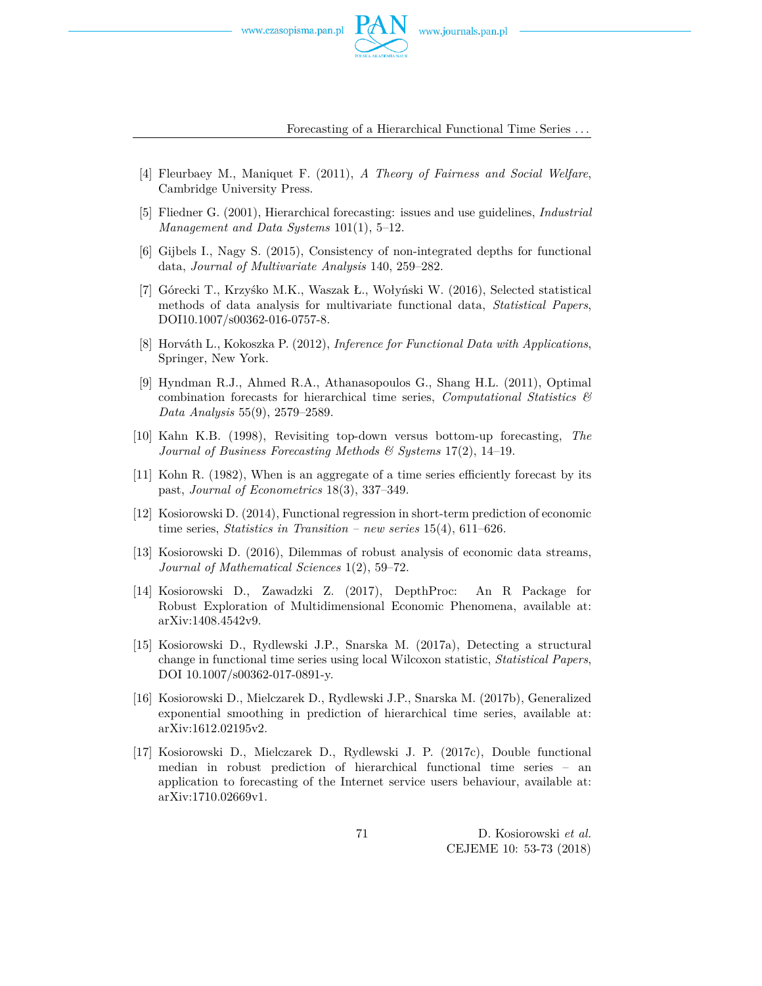![](_page_18_Picture_2.jpeg)

Forecasting of a Hierarchical Functional Time Series *. . .*

- [4] Fleurbaey M., Maniquet F. (2011), *A Theory of Fairness and Social Welfare*, Cambridge University Press.
- [5] Fliedner G. (2001), Hierarchical forecasting: issues and use guidelines, *Industrial Management and Data Systems* 101(1), 5–12.
- [6] Gijbels I., Nagy S. (2015), Consistency of non-integrated depths for functional data, *Journal of Multivariate Analysis* 140, 259–282.
- [7] Górecki T., Krzyśko M.K., Waszak Ł., Wołyński W. (2016), Selected statistical methods of data analysis for multivariate functional data, *Statistical Papers*, DOI10.1007/s00362-016-0757-8.
- [8] Horváth L., Kokoszka P. (2012), *Inference for Functional Data with Applications*, Springer, New York.
- [9] Hyndman R.J., Ahmed R.A., Athanasopoulos G., Shang H.L. (2011), Optimal combination forecasts for hierarchical time series, *Computational Statistics & Data Analysis* 55(9), 2579–2589.
- [10] Kahn K.B. (1998), Revisiting top-down versus bottom-up forecasting, *The Journal of Business Forecasting Methods & Systems* 17(2), 14–19.
- [11] Kohn R. (1982), When is an aggregate of a time series efficiently forecast by its past, *Journal of Econometrics* 18(3), 337–349.
- [12] Kosiorowski D. (2014), Functional regression in short-term prediction of economic time series, *Statistics in Transition – new series* 15(4), 611–626.
- [13] Kosiorowski D. (2016), Dilemmas of robust analysis of economic data streams, *Journal of Mathematical Sciences* 1(2), 59–72.
- [14] Kosiorowski D., Zawadzki Z. (2017), DepthProc: An R Package for Robust Exploration of Multidimensional Economic Phenomena, available at: arXiv:1408.4542v9.
- [15] Kosiorowski D., Rydlewski J.P., Snarska M. (2017a), Detecting a structural change in functional time series using local Wilcoxon statistic, *Statistical Papers*, DOI 10.1007/s00362-017-0891-y.
- [16] Kosiorowski D., Mielczarek D., Rydlewski J.P., Snarska M. (2017b), Generalized exponential smoothing in prediction of hierarchical time series, available at: arXiv:1612.02195v2.
- [17] Kosiorowski D., Mielczarek D., Rydlewski J. P. (2017c), Double functional median in robust prediction of hierarchical functional time series – an application to forecasting of the Internet service users behaviour, available at: arXiv:1710.02669v1.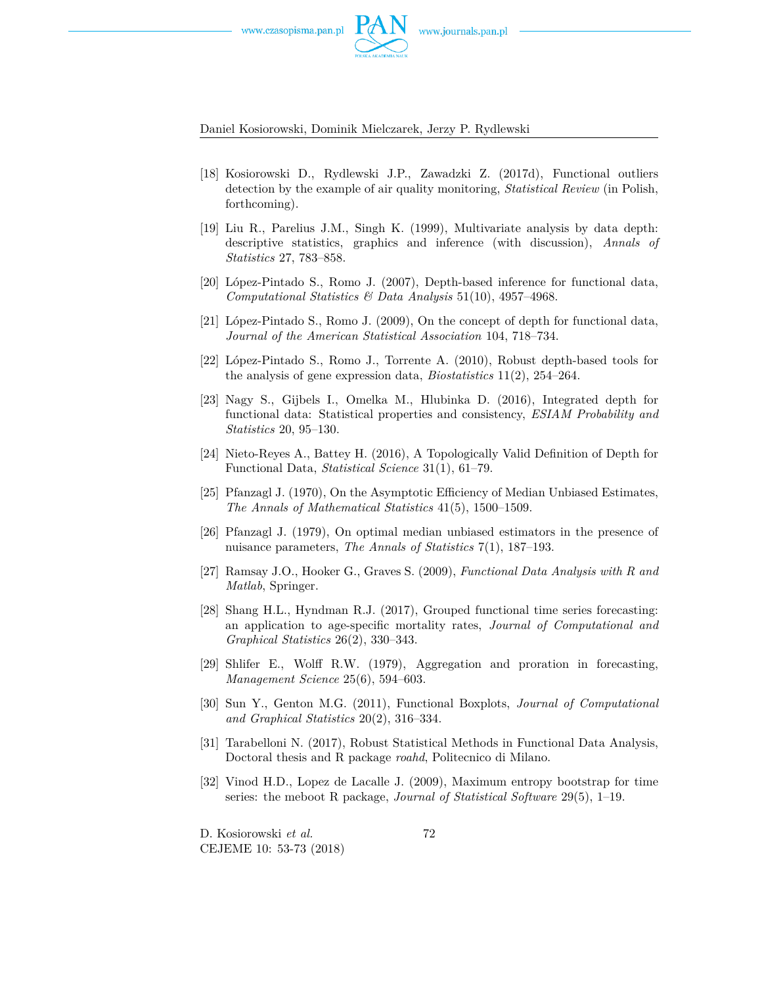![](_page_19_Picture_2.jpeg)

- [18] Kosiorowski D., Rydlewski J.P., Zawadzki Z. (2017d), Functional outliers detection by the example of air quality monitoring, *Statistical Review* (in Polish, forthcoming).
- [19] Liu R., Parelius J.M., Singh K. (1999), Multivariate analysis by data depth: descriptive statistics, graphics and inference (with discussion), *Annals of Statistics* 27, 783–858.
- [20] López-Pintado S., Romo J. (2007), Depth-based inference for functional data, *Computational Statistics & Data Analysis* 51(10), 4957–4968.
- [21] López-Pintado S., Romo J. (2009), On the concept of depth for functional data, *Journal of the American Statistical Association* 104, 718–734.
- [22] López-Pintado S., Romo J., Torrente A. (2010), Robust depth-based tools for the analysis of gene expression data, *Biostatistics* 11(2), 254–264.
- [23] Nagy S., Gijbels I., Omelka M., Hlubinka D. (2016), Integrated depth for functional data: Statistical properties and consistency, *ESIAM Probability and Statistics* 20, 95–130.
- [24] Nieto-Reyes A., Battey H. (2016), A Topologically Valid Definition of Depth for Functional Data, *Statistical Science* 31(1), 61–79.
- [25] Pfanzagl J. (1970), On the Asymptotic Efficiency of Median Unbiased Estimates, *The Annals of Mathematical Statistics* 41(5), 1500–1509.
- [26] Pfanzagl J. (1979), On optimal median unbiased estimators in the presence of nuisance parameters, *The Annals of Statistics* 7(1), 187–193.
- [27] Ramsay J.O., Hooker G., Graves S. (2009), *Functional Data Analysis with R and Matlab*, Springer.
- [28] Shang H.L., Hyndman R.J. (2017), Grouped functional time series forecasting: an application to age-specific mortality rates, *Journal of Computational and Graphical Statistics* 26(2), 330–343.
- [29] Shlifer E., Wolff R.W. (1979), Aggregation and proration in forecasting, *Management Science* 25(6), 594–603.
- [30] Sun Y., Genton M.G. (2011), Functional Boxplots, *Journal of Computational and Graphical Statistics* 20(2), 316–334.
- [31] Tarabelloni N. (2017), Robust Statistical Methods in Functional Data Analysis, Doctoral thesis and R package *roahd*, Politecnico di Milano.
- [32] Vinod H.D., Lopez de Lacalle J. (2009), Maximum entropy bootstrap for time series: the meboot R package, *Journal of Statistical Software* 29(5), 1–19.